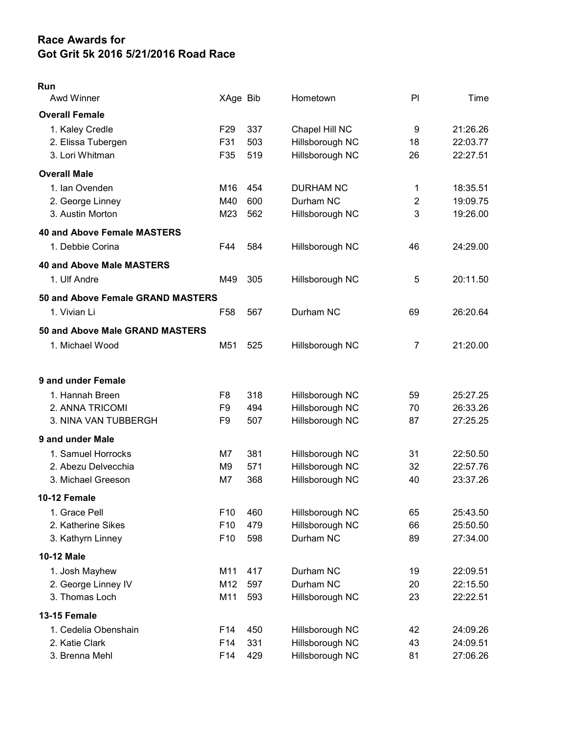## Race Awards for Got Grit 5k 2016 5/21/2016 Road Race

## Run

| Awd Winner                         | XAge Bib        |     | Hometown         | PI             | Time     |
|------------------------------------|-----------------|-----|------------------|----------------|----------|
| <b>Overall Female</b>              |                 |     |                  |                |          |
| 1. Kaley Credle                    | F <sub>29</sub> | 337 | Chapel Hill NC   | 9              | 21:26.26 |
| 2. Elissa Tubergen                 | F31             | 503 | Hillsborough NC  | 18             | 22:03.77 |
| 3. Lori Whitman                    | F35             | 519 | Hillsborough NC  | 26             | 22:27.51 |
| <b>Overall Male</b>                |                 |     |                  |                |          |
| 1. Ian Ovenden                     | M16             | 454 | <b>DURHAM NC</b> | 1              | 18:35.51 |
| 2. George Linney                   | M40             | 600 | Durham NC        | $\overline{2}$ | 19:09.75 |
| 3. Austin Morton                   | M23             | 562 | Hillsborough NC  | 3              | 19:26.00 |
| <b>40 and Above Female MASTERS</b> |                 |     |                  |                |          |
| 1. Debbie Corina                   | F44             | 584 | Hillsborough NC  | 46             | 24:29.00 |
| <b>40 and Above Male MASTERS</b>   |                 |     |                  |                |          |
| 1. Ulf Andre                       | M49             | 305 | Hillsborough NC  | 5              | 20:11.50 |
| 50 and Above Female GRAND MASTERS  |                 |     |                  |                |          |
| 1. Vivian Li                       | F <sub>58</sub> | 567 | Durham NC        | 69             | 26:20.64 |
| 50 and Above Male GRAND MASTERS    |                 |     |                  |                |          |
| 1. Michael Wood                    | M51             | 525 | Hillsborough NC  | $\overline{7}$ | 21:20.00 |
|                                    |                 |     |                  |                |          |
| 9 and under Female                 |                 |     |                  |                |          |
| 1. Hannah Breen                    | F <sub>8</sub>  | 318 | Hillsborough NC  | 59             | 25:27.25 |
| 2. ANNA TRICOMI                    | F <sub>9</sub>  | 494 | Hillsborough NC  | 70             | 26:33.26 |
| 3. NINA VAN TUBBERGH               | F9              | 507 | Hillsborough NC  | 87             | 27:25.25 |
| 9 and under Male                   |                 |     |                  |                |          |
| 1. Samuel Horrocks                 | M7              | 381 | Hillsborough NC  | 31             | 22:50.50 |
| 2. Abezu Delvecchia                | M9              | 571 | Hillsborough NC  | 32             | 22:57.76 |
| 3. Michael Greeson                 | M7              | 368 | Hillsborough NC  | 40             | 23:37.26 |
| 10-12 Female                       |                 |     |                  |                |          |
| 1. Grace Pell                      | F10             | 460 | Hillsborough NC  | 65             | 25:43.50 |
| 2. Katherine Sikes                 | F10             | 479 | Hillsborough NC  | 66             | 25:50.50 |
| 3. Kathyrn Linney                  | F <sub>10</sub> | 598 | Durham NC        | 89             | 27:34.00 |
| 10-12 Male                         |                 |     |                  |                |          |
| 1. Josh Mayhew                     | M11             | 417 | Durham NC        | 19             | 22:09.51 |
| 2. George Linney IV                | M12             | 597 | Durham NC        | 20             | 22:15.50 |
| 3. Thomas Loch                     | M11             | 593 | Hillsborough NC  | 23             | 22:22.51 |
| 13-15 Female                       |                 |     |                  |                |          |
| 1. Cedelia Obenshain               | F <sub>14</sub> | 450 | Hillsborough NC  | 42             | 24:09.26 |
| 2. Katie Clark                     | F14             | 331 | Hillsborough NC  | 43             | 24:09.51 |
| 3. Brenna Mehl                     | F14             | 429 | Hillsborough NC  | 81             | 27:06.26 |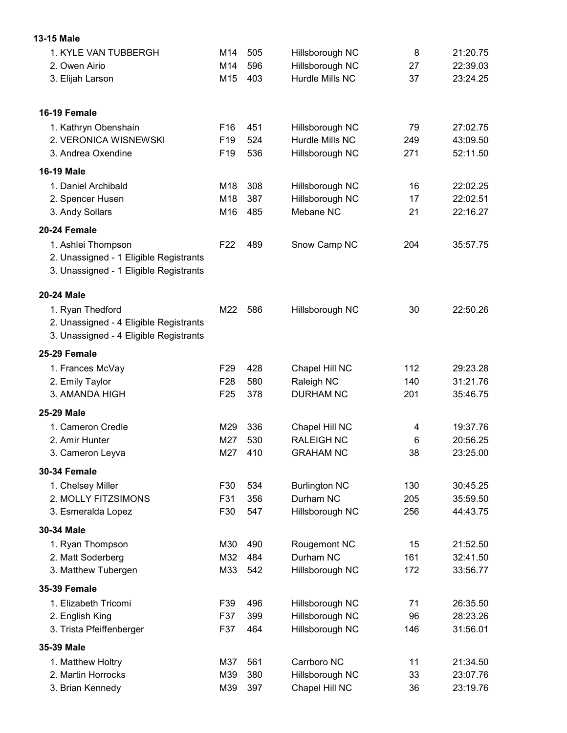## 13-15 Male

| 1. KYLE VAN TUBBERGH                   | M14             | 505 | Hillsborough NC      | 8   | 21:20.75 |
|----------------------------------------|-----------------|-----|----------------------|-----|----------|
| 2. Owen Airio                          | M14             | 596 | Hillsborough NC      | 27  | 22:39.03 |
| 3. Elijah Larson                       | M15             | 403 | Hurdle Mills NC      | 37  | 23:24.25 |
| 16-19 Female                           |                 |     |                      |     |          |
| 1. Kathryn Obenshain                   | F <sub>16</sub> | 451 | Hillsborough NC      | 79  | 27:02.75 |
| 2. VERONICA WISNEWSKI                  | F <sub>19</sub> | 524 | Hurdle Mills NC      | 249 | 43:09.50 |
| 3. Andrea Oxendine                     | F19             | 536 | Hillsborough NC      | 271 | 52:11.50 |
| <b>16-19 Male</b>                      |                 |     |                      |     |          |
| 1. Daniel Archibald                    | M18             | 308 | Hillsborough NC      | 16  | 22:02.25 |
| 2. Spencer Husen                       | M18             | 387 | Hillsborough NC      | 17  | 22:02.51 |
| 3. Andy Sollars                        | M16             | 485 | Mebane NC            | 21  | 22:16.27 |
| 20-24 Female                           |                 |     |                      |     |          |
| 1. Ashlei Thompson                     | F <sub>22</sub> | 489 | Snow Camp NC         | 204 | 35:57.75 |
| 2. Unassigned - 1 Eligible Registrants |                 |     |                      |     |          |
| 3. Unassigned - 1 Eligible Registrants |                 |     |                      |     |          |
| 20-24 Male                             |                 |     |                      |     |          |
| 1. Ryan Thedford                       | M22             | 586 | Hillsborough NC      | 30  | 22:50.26 |
| 2. Unassigned - 4 Eligible Registrants |                 |     |                      |     |          |
| 3. Unassigned - 4 Eligible Registrants |                 |     |                      |     |          |
| 25-29 Female                           |                 |     |                      |     |          |
| 1. Frances McVay                       | F <sub>29</sub> | 428 | Chapel Hill NC       | 112 | 29:23.28 |
| 2. Emily Taylor                        | F <sub>28</sub> | 580 | Raleigh NC           | 140 | 31:21.76 |
| 3. AMANDA HIGH                         | F <sub>25</sub> | 378 | <b>DURHAM NC</b>     | 201 | 35:46.75 |
| 25-29 Male                             |                 |     |                      |     |          |
| 1. Cameron Credle                      | M29             | 336 | Chapel Hill NC       | 4   | 19:37.76 |
| 2. Amir Hunter                         | M27             | 530 | <b>RALEIGH NC</b>    | 6   | 20:56.25 |
| 3. Cameron Leyva                       | M27             | 410 | <b>GRAHAM NC</b>     | 38  | 23:25.00 |
| <b>30-34 Female</b>                    |                 |     |                      |     |          |
| 1. Chelsey Miller                      | F30             | 534 | <b>Burlington NC</b> | 130 | 30:45.25 |
| 2. MOLLY FITZSIMONS                    | F31             | 356 | Durham NC            | 205 | 35:59.50 |
| 3. Esmeralda Lopez                     | F30             | 547 | Hillsborough NC      | 256 | 44:43.75 |
| 30-34 Male                             |                 |     |                      |     |          |
| 1. Ryan Thompson                       | M30             | 490 | Rougemont NC         | 15  | 21:52.50 |
| 2. Matt Soderberg                      | M32             | 484 | Durham NC            | 161 | 32:41.50 |
| 3. Matthew Tubergen                    | M33             | 542 | Hillsborough NC      | 172 | 33:56.77 |
| <b>35-39 Female</b>                    |                 |     |                      |     |          |
| 1. Elizabeth Tricomi                   | F39             | 496 | Hillsborough NC      | 71  | 26:35.50 |
| 2. English King                        | F37             | 399 | Hillsborough NC      | 96  | 28:23.26 |
| 3. Trista Pfeiffenberger               | F37             | 464 | Hillsborough NC      | 146 | 31:56.01 |
| 35-39 Male                             |                 |     |                      |     |          |
| 1. Matthew Holtry                      | M37             | 561 | Carrboro NC          | 11  | 21:34.50 |
| 2. Martin Horrocks                     | M39             | 380 | Hillsborough NC      | 33  | 23:07.76 |
| 3. Brian Kennedy                       | M39             | 397 | Chapel Hill NC       | 36  | 23:19.76 |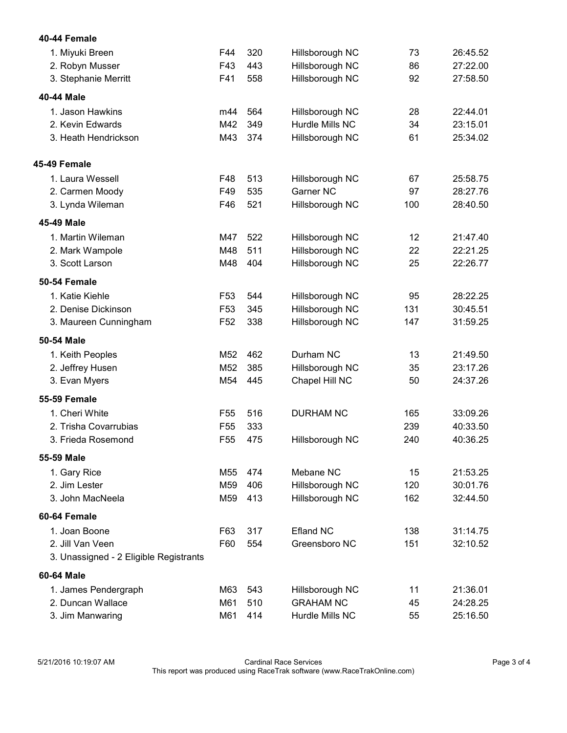| 1. Miyuki Breen                        | F44             | 320 | Hillsborough NC  | 73  | 26:45.52 |
|----------------------------------------|-----------------|-----|------------------|-----|----------|
| 2. Robyn Musser                        | F43             | 443 | Hillsborough NC  | 86  | 27:22.00 |
| 3. Stephanie Merritt                   | F41             | 558 | Hillsborough NC  | 92  | 27:58.50 |
| 40-44 Male                             |                 |     |                  |     |          |
| 1. Jason Hawkins                       | m44             | 564 | Hillsborough NC  | 28  | 22:44.01 |
| 2. Kevin Edwards                       | M42             | 349 | Hurdle Mills NC  | 34  | 23:15.01 |
| 3. Heath Hendrickson                   | M43             | 374 | Hillsborough NC  | 61  | 25:34.02 |
| 45-49 Female                           |                 |     |                  |     |          |
| 1. Laura Wessell                       | F48             | 513 | Hillsborough NC  | 67  | 25:58.75 |
| 2. Carmen Moody                        | F49             | 535 | <b>Garner NC</b> | 97  | 28:27.76 |
| 3. Lynda Wileman                       | F46             | 521 | Hillsborough NC  | 100 | 28:40.50 |
| 45-49 Male                             |                 |     |                  |     |          |
| 1. Martin Wileman                      | M47             | 522 | Hillsborough NC  | 12  | 21:47.40 |
| 2. Mark Wampole                        | M48             | 511 | Hillsborough NC  | 22  | 22:21.25 |
| 3. Scott Larson                        | M48             | 404 | Hillsborough NC  | 25  | 22:26.77 |
| 50-54 Female                           |                 |     |                  |     |          |
| 1. Katie Kiehle                        | F <sub>53</sub> | 544 | Hillsborough NC  | 95  | 28:22.25 |
| 2. Denise Dickinson                    | F <sub>53</sub> | 345 | Hillsborough NC  | 131 | 30:45.51 |
| 3. Maureen Cunningham                  | F <sub>52</sub> | 338 | Hillsborough NC  | 147 | 31:59.25 |
| 50-54 Male                             |                 |     |                  |     |          |
| 1. Keith Peoples                       | M <sub>52</sub> | 462 | Durham NC        | 13  | 21:49.50 |
| 2. Jeffrey Husen                       | M <sub>52</sub> | 385 | Hillsborough NC  | 35  | 23:17.26 |
| 3. Evan Myers                          | M54             | 445 | Chapel Hill NC   | 50  | 24:37.26 |
| <b>55-59 Female</b>                    |                 |     |                  |     |          |
| 1. Cheri White                         | F <sub>55</sub> | 516 | <b>DURHAM NC</b> | 165 | 33:09.26 |
| 2. Trisha Covarrubias                  | F <sub>55</sub> | 333 |                  | 239 | 40:33.50 |
| 3. Frieda Rosemond                     | F <sub>55</sub> | 475 | Hillsborough NC  | 240 | 40:36.25 |
| 55-59 Male                             |                 |     |                  |     |          |
| 1. Gary Rice                           | M55             | 474 | Mebane NC        | 15  | 21:53.25 |
| 2. Jim Lester                          | M59             | 406 | Hillsborough NC  | 120 | 30:01.76 |
| 3. John MacNeela                       | M59             | 413 | Hillsborough NC  | 162 | 32:44.50 |
| 60-64 Female                           |                 |     |                  |     |          |
| 1. Joan Boone                          | F63             | 317 | <b>Efland NC</b> | 138 | 31:14.75 |
| 2. Jill Van Veen                       | F60             | 554 | Greensboro NC    | 151 | 32:10.52 |
| 3. Unassigned - 2 Eligible Registrants |                 |     |                  |     |          |
| 60-64 Male                             |                 |     |                  |     |          |
| 1. James Pendergraph                   | M63             | 543 | Hillsborough NC  | 11  | 21:36.01 |
| 2. Duncan Wallace                      | M61             | 510 | <b>GRAHAM NC</b> | 45  | 24:28.25 |
| 3. Jim Manwaring                       | M61             | 414 | Hurdle Mills NC  | 55  | 25:16.50 |

40-44 Female